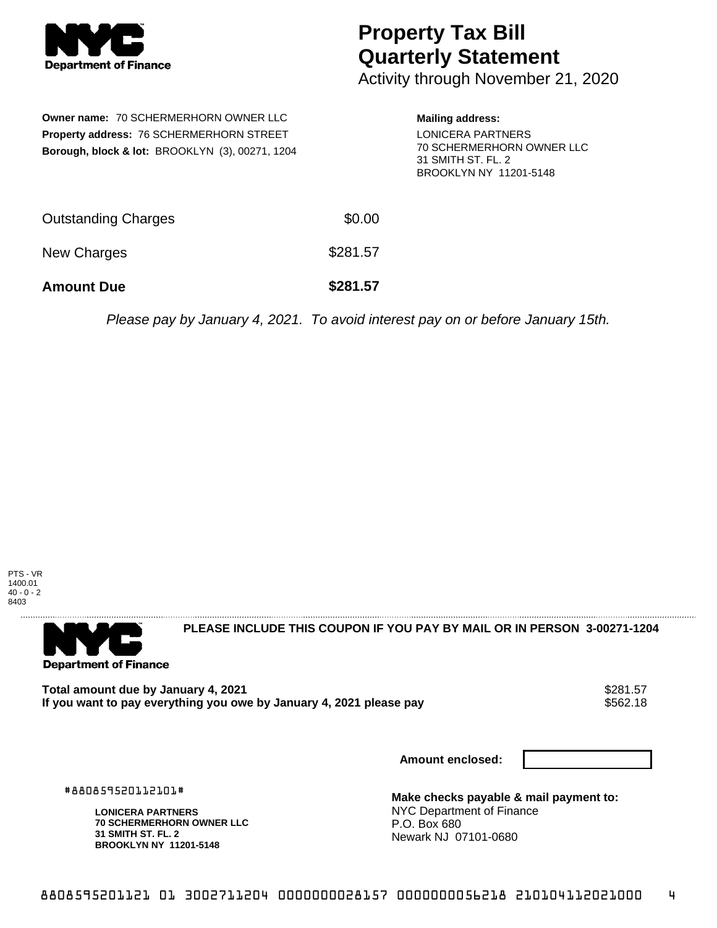

## **Property Tax Bill Quarterly Statement**

Activity through November 21, 2020

| <b>Owner name: 70 SCHERMERHORN OWNER LLC</b><br>Property address: 76 SCHERMERHORN STREET<br><b>Borough, block &amp; lot: BROOKLYN (3), 00271, 1204</b> |          | <b>Mailing address:</b><br><b>LONICERA PARTNERS</b><br>70 SCHERMERHORN OWNER LLC<br>31 SMITH ST. FL. 2<br>BROOKLYN NY 11201-5148 |
|--------------------------------------------------------------------------------------------------------------------------------------------------------|----------|----------------------------------------------------------------------------------------------------------------------------------|
| <b>Outstanding Charges</b>                                                                                                                             | \$0.00   |                                                                                                                                  |
| New Charges                                                                                                                                            | \$281.57 |                                                                                                                                  |
| <b>Amount Due</b>                                                                                                                                      | \$281.57 |                                                                                                                                  |

Please pay by January 4, 2021. To avoid interest pay on or before January 15th.





#880859520112101#

**LONICERA PARTNERS**

**31 SMITH ST. FL. 2 BROOKLYN NY 11201-5148**

**70 SCHERMERHORN OWNER LLC**

**PLEASE INCLUDE THIS COUPON IF YOU PAY BY MAIL OR IN PERSON 3-00271-1204** 

Total amount due by January 4, 2021<br>If you want to pay everything you owe by January 4, 2021 please pay **show that the seam of the seam of the s**562.18 If you want to pay everything you owe by January 4, 2021 please pay

**Amount enclosed:**

**Make checks payable & mail payment to:** NYC Department of Finance P.O. Box 680 Newark NJ 07101-0680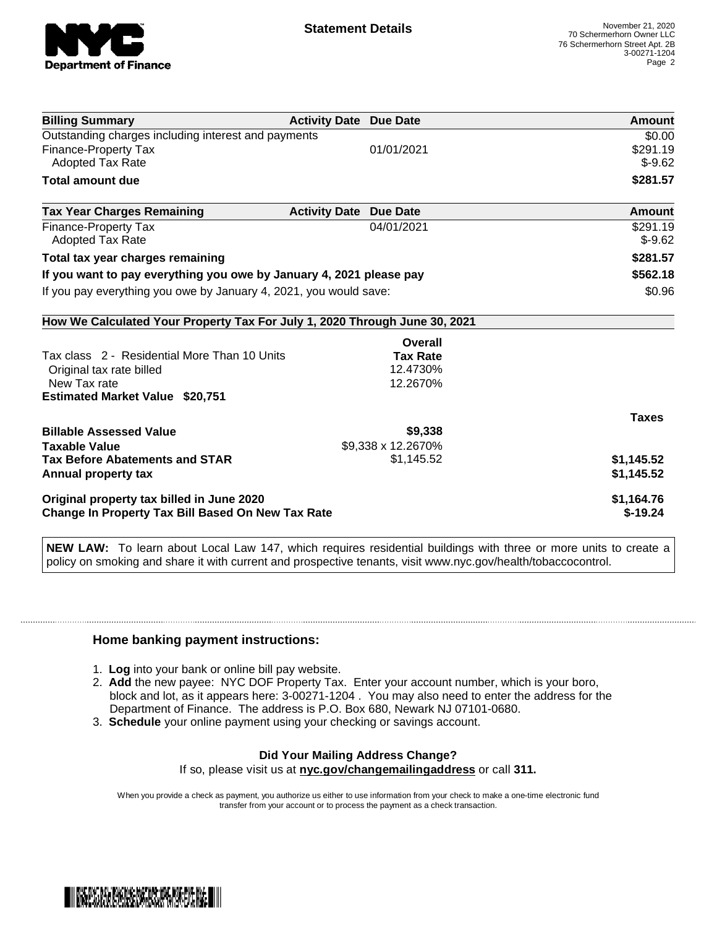

| <b>Billing Summary</b>                                                     | <b>Activity Date Due Date</b>           | Amount       |
|----------------------------------------------------------------------------|-----------------------------------------|--------------|
| Outstanding charges including interest and payments                        |                                         | \$0.00       |
| Finance-Property Tax                                                       | 01/01/2021                              | \$291.19     |
| <b>Adopted Tax Rate</b>                                                    |                                         | $$-9.62$     |
| <b>Total amount due</b>                                                    |                                         | \$281.57     |
| <b>Tax Year Charges Remaining</b>                                          | <b>Activity Date</b><br><b>Due Date</b> | Amount       |
| Finance-Property Tax                                                       | 04/01/2021                              | \$291.19     |
| Adopted Tax Rate                                                           |                                         | $$-9.62$     |
| Total tax year charges remaining                                           |                                         | \$281.57     |
| If you want to pay everything you owe by January 4, 2021 please pay        |                                         | \$562.18     |
| If you pay everything you owe by January 4, 2021, you would save:          |                                         | \$0.96       |
| How We Calculated Your Property Tax For July 1, 2020 Through June 30, 2021 |                                         |              |
|                                                                            | Overall                                 |              |
| Tax class 2 - Residential More Than 10 Units                               | <b>Tax Rate</b>                         |              |
| Original tax rate billed                                                   | 12.4730%                                |              |
| New Tax rate                                                               | 12.2670%                                |              |
| <b>Estimated Market Value \$20,751</b>                                     |                                         |              |
|                                                                            |                                         | <b>Taxes</b> |
| <b>Billable Assessed Value</b>                                             | \$9,338                                 |              |
| <b>Taxable Value</b>                                                       | \$9,338 x 12.2670%                      |              |
| <b>Tax Before Abatements and STAR</b>                                      | \$1,145.52                              | \$1,145.52   |
| Annual property tax                                                        |                                         | \$1,145.52   |
| Original property tax billed in June 2020                                  |                                         | \$1,164.76   |
| <b>Change In Property Tax Bill Based On New Tax Rate</b>                   |                                         | $$-19.24$    |

**NEW LAW:** To learn about Local Law 147, which requires residential buildings with three or more units to create a policy on smoking and share it with current and prospective tenants, visit www.nyc.gov/health/tobaccocontrol.

## **Home banking payment instructions:**

- 1. **Log** into your bank or online bill pay website.
- 2. **Add** the new payee: NYC DOF Property Tax. Enter your account number, which is your boro, block and lot, as it appears here: 3-00271-1204 . You may also need to enter the address for the Department of Finance. The address is P.O. Box 680, Newark NJ 07101-0680.
- 3. **Schedule** your online payment using your checking or savings account.

## **Did Your Mailing Address Change?** If so, please visit us at **nyc.gov/changemailingaddress** or call **311.**

When you provide a check as payment, you authorize us either to use information from your check to make a one-time electronic fund

transfer from your account or to process the payment as a check transaction.